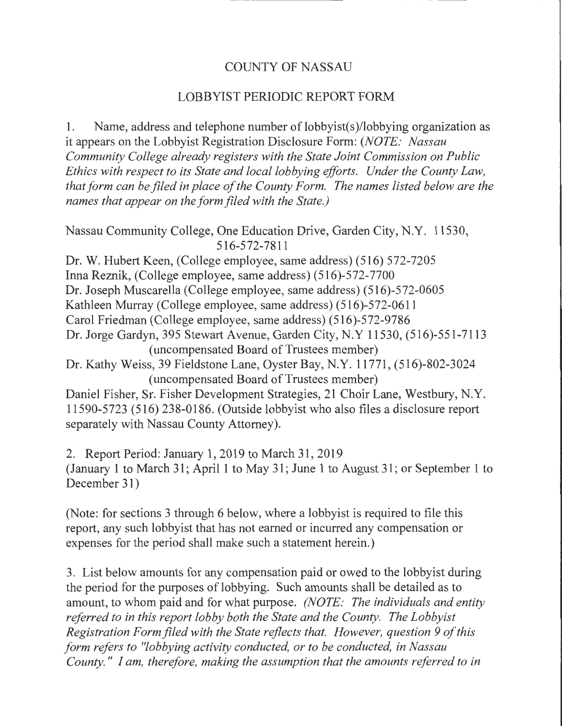## COUNTY OF NASSAU

## LOBBYIST PERIODIC REPORT FORM

1. Name, address and telephone number of lobbyist(s)/lobbying organization as it appears on the Lobbyist Registration Disclosure Form: *(NOTE: Nassau Community College already registers with the State Joint Commission on Public Ethics with respect to its State and local lobbying efforts. Under the County Law, that form can be filed in place of the County Form. The names listed below are the names that appear on the form filed with the State.)* 

Nassau Community College, One Education Drive, Garden City, N.Y. 11530, 516-572-7811

Dr. W. Hubert Keen, (College employee, same address) (516) 572-7205 Inna Reznik, (College employee, same address) (516)-572-7700 Dr. Joseph Muscarella (College employee, same address) (516)-572-0605 Kathleen Murray (College employee, same address) (516)-572-0611 Carol Friedman (College employee, same address) (516)-572-9786 Dr. Jorge Gardyn, 395 Stewart Avenue, Garden City, N.Y 11530, (516)-551-7113 (uncompensated Board of Trustees member) Dr. Kathy Weiss, 39 Fieldstone Lane, Oyster Bay, N.Y. 11771, (516)-802-3024 (uncompensated Board of Trustees member)

Daniel Fisher, Sr. Fisher Development Strategies, 21 Choir Lane, Westbury, N.Y. 11590-5723 (516) 238-0186. (Outside lobbyist who also files a disclosure report separately with Nassau County Attorney).

2. Report Period: January 1, 2019 to March 31,2019 (January 1 to March 31; April 1 to May 31; June 1 to August 31; or September 1 to December 31)

(Note: for sections 3 through 6 below, where a lobbyist is required to file this report, any such lobbyist that has not earned or incurred any compensation or expenses for the period shall make such a statement herein.)

3. List below amounts for any compensation paid or owed to the lobbyist during the period for the purposes of lobbying. Such amounts shall be detailed as to amount, to whom paid and for what purpose. *(NOTE: The individuals and entity referred to in this report lobby both the State and the County. The Lobbyist Registration Form filed with the State reflects that. However, question 9 of this form refers to "lobbying activity conducted, or to be conducted, in Nassau County.* " *I am, therefore, making the assumption that the amounts referred to in*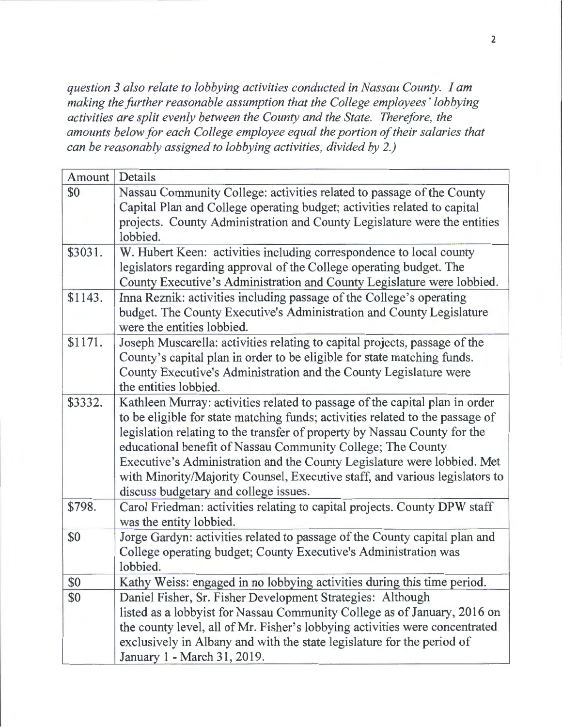*question 3 also relate to lobbying activities conducted in Nassau County. I am making the further reasonable assumption that the College employees' lobbying activities are split evenly between the County and the State. Therefore, the amounts below for each College employee equal the portion of their salaries that can be reasonably assigned to lobbying activities, divided by 2.)* 

| Amount  | Details                                                                       |
|---------|-------------------------------------------------------------------------------|
| \$0     | Nassau Community College: activities related to passage of the County         |
|         | Capital Plan and College operating budget; activities related to capital      |
|         | projects. County Administration and County Legislature were the entities      |
|         | lobbied.                                                                      |
| \$3031. | W. Hubert Keen: activities including correspondence to local county           |
|         | legislators regarding approval of the College operating budget. The           |
|         | County Executive's Administration and County Legislature were lobbied.        |
| \$1143. | Inna Reznik: activities including passage of the College's operating          |
|         | budget. The County Executive's Administration and County Legislature          |
|         | were the entities lobbied.                                                    |
| \$1171. | Joseph Muscarella: activities relating to capital projects, passage of the    |
|         | County's capital plan in order to be eligible for state matching funds.       |
|         | County Executive's Administration and the County Legislature were             |
|         | the entities lobbied.                                                         |
| \$3332. | Kathleen Murray: activities related to passage of the capital plan in order   |
|         | to be eligible for state matching funds; activities related to the passage of |
|         | legislation relating to the transfer of property by Nassau County for the     |
|         | educational benefit of Nassau Community College; The County                   |
|         | Executive's Administration and the County Legislature were lobbied. Met       |
|         | with Minority/Majority Counsel, Executive staff, and various legislators to   |
|         | discuss budgetary and college issues.                                         |
| \$798.  | Carol Friedman: activities relating to capital projects. County DPW staff     |
|         | was the entity lobbied.                                                       |
| \$0     | Jorge Gardyn: activities related to passage of the County capital plan and    |
|         | College operating budget; County Executive's Administration was               |
|         | lobbied.                                                                      |
| \$0     | Kathy Weiss: engaged in no lobbying activities during this time period.       |
| \$0     | Daniel Fisher, Sr. Fisher Development Strategies: Although                    |
|         | listed as a lobbyist for Nassau Community College as of January, 2016 on      |
|         | the county level, all of Mr. Fisher's lobbying activities were concentrated   |
|         | exclusively in Albany and with the state legislature for the period of        |
|         | January 1 - March 31, 2019.                                                   |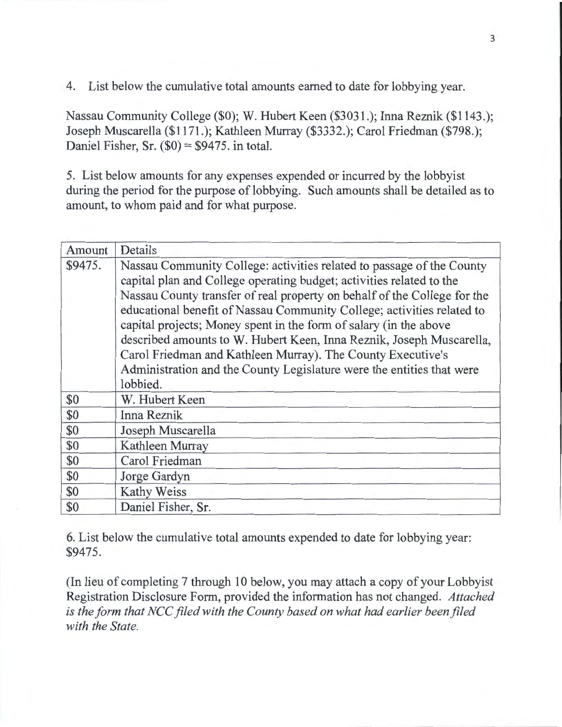4. List below the cumulative total amounts earned to date for lobbying year.

Nassau Community College (\$0); W. Hubert Keen (\$3031.); Inna Reznik (\$1143.); Joseph Muscarella (\$1171.); Kathleen Murray (\$3332.); Carol Friedman (\$798.); Daniel Fisher, Sr.  $(\$0) = \$9475$ . in total.

5. List below amounts for any expenses expended or incurred by the lobbyist during the period for the purpose of lobbying. Such amounts shall be detailed as to amount, to whom paid and for what purpose.

| Amount  | Details                                                                                                                                                                                                                                                                                                                                                                                                                                                                                                                                                                                              |
|---------|------------------------------------------------------------------------------------------------------------------------------------------------------------------------------------------------------------------------------------------------------------------------------------------------------------------------------------------------------------------------------------------------------------------------------------------------------------------------------------------------------------------------------------------------------------------------------------------------------|
| \$9475. | Nassau Community College: activities related to passage of the County<br>capital plan and College operating budget; activities related to the<br>Nassau County transfer of real property on behalf of the College for the<br>educational benefit of Nassau Community College; activities related to<br>capital projects; Money spent in the form of salary (in the above<br>described amounts to W. Hubert Keen, Inna Reznik, Joseph Muscarella,<br>Carol Friedman and Kathleen Murray). The County Executive's<br>Administration and the County Legislature were the entities that were<br>lobbied. |
| \$0     | W. Hubert Keen                                                                                                                                                                                                                                                                                                                                                                                                                                                                                                                                                                                       |
| \$0     | Inna Reznik                                                                                                                                                                                                                                                                                                                                                                                                                                                                                                                                                                                          |
| \$0     | Joseph Muscarella                                                                                                                                                                                                                                                                                                                                                                                                                                                                                                                                                                                    |
| \$0     | Kathleen Murray                                                                                                                                                                                                                                                                                                                                                                                                                                                                                                                                                                                      |
| \$0     | Carol Friedman                                                                                                                                                                                                                                                                                                                                                                                                                                                                                                                                                                                       |
| \$0     | Jorge Gardyn                                                                                                                                                                                                                                                                                                                                                                                                                                                                                                                                                                                         |
| \$0     | Kathy Weiss                                                                                                                                                                                                                                                                                                                                                                                                                                                                                                                                                                                          |
| \$0     | Daniel Fisher, Sr.                                                                                                                                                                                                                                                                                                                                                                                                                                                                                                                                                                                   |

6. List below the cumulative total amounts expended to date for lobbying year: \$9475.

(In lieu of completing 7 through 10 below, you may attach a copy of your Lobbyist Registration Disclosure Form, provided the information has not changed. *Attached is the form that NCC filed with the County based on what had earlier been filed with the State.*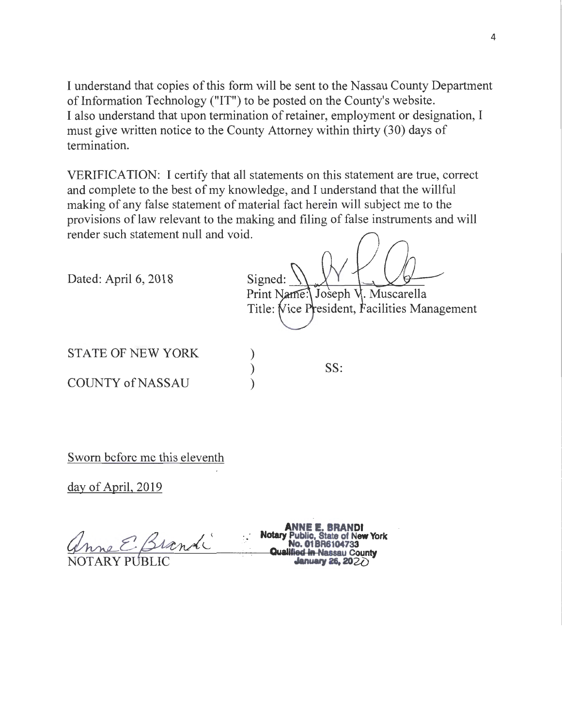I understand that copies of this form will be sent to the Nassau County Department of Information Technology ("IT") to be posted on the County's website. I also understand that upon termination of retainer, employment or designation, I must give written notice to the County Attorney within thirty (30) days of termination.

VERIFICATION: I certify that all statements on this statement are true, correct and complete to the best of my knowledge, and I understand that the willful making of any false statement of material fact herein will subject me to the provisions of law relevant to the making and filing of false instruments and will render such statement null and void.

> ) ) )

Dated: April 6, 2018

Signed: Print Name: Joseph V. Muscarella Title: Vice President, Facilities Management

STATE OF NEW YORK

COUNTY of NASSAU

SS:

Sworn before me this eleventh

day of April, 2019

ANNE E. BRANIJI<br>Motary Public, State of New York **ANNE E. BRANIJI**<br> **Qualitied in Nassau County** 

**ANNE E. BRANDl**  NOTARY P LIC **.......,.,28.202{)**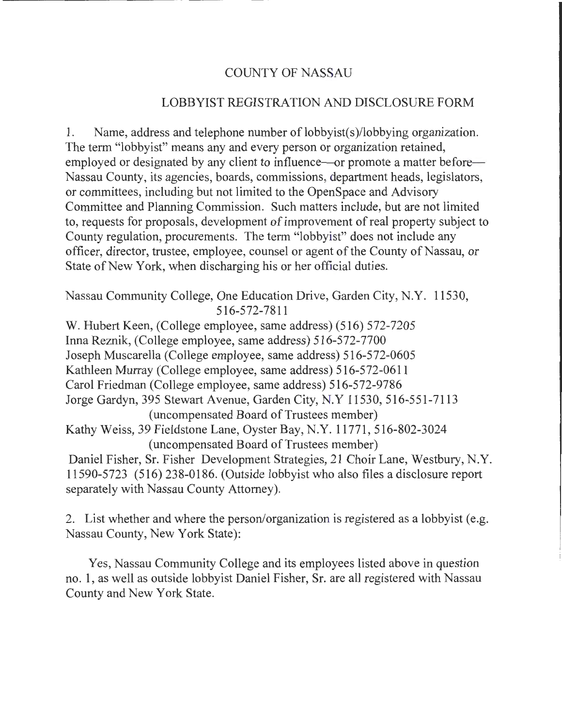## COUNTY OF NASSAU

## LOBBYIST REGISTRATION AND DISCLOSURE FORM

1. Name, address and telephone number of lobbyist(s)/lobbying organization. The term "lobbyist" means any and every person or organization retained, employed or designated by any client to influence—or promote a matter before— Nassau County, its agencies, boards, commissions, department heads, legislators, or committees, including but not limited to the OpenSpace and Advisory Committee and Planning Commission. Such matters include, but are not limited to, requests for proposals, development of improvement of real property subject to County regulation, procurements. The term "lobbyist" does not include any officer, director, trustee, employee, counsel or agent of the County of Nassau, or State of New York, when discharging his or her official duties.

Nassau Community College, One Education Drive, Garden City, N.Y. 11530, 516-572-7811

W. Hubert Keen, (College employee, same address) (516) 572-7205 Irma Reznik, (College employee, same address) 516-572-7700 Joseph Muscarella (College employee, same address) 516-572-0605 Kathleen Murray (College employee, same address) 516-572-0611 Carol Friedman (College employee, same address) 516-572-9786 Jorge Gardyn, 395 Stewart Avenue, Garden City, N.Y 11530, 516-551-7113 (uncompensated Board of Trustees member) Kathy Weiss, 39 Fieldstone Lane, Oyster Bay, N.Y. 11771, 516-802-3024 (uncompensated Board of Trustees member) Daniel Fisher, Sr. Fisher Development Strategies, 21 Choir Lane, Westbury, N.Y. 11590-5723 (516) 238-0186. (Outside lobbyist who also files a disclosure report separately with Nassau County Attorney).

2. List whether and where the person/organization is registered as a lobbyist (e.g. Nassau County, New York State):

Yes, Nassau Community College and its employees listed above in question no. 1, as well as outside lobbyist Daniel Fisher, Sr. are all registered with Nassau County and New York State.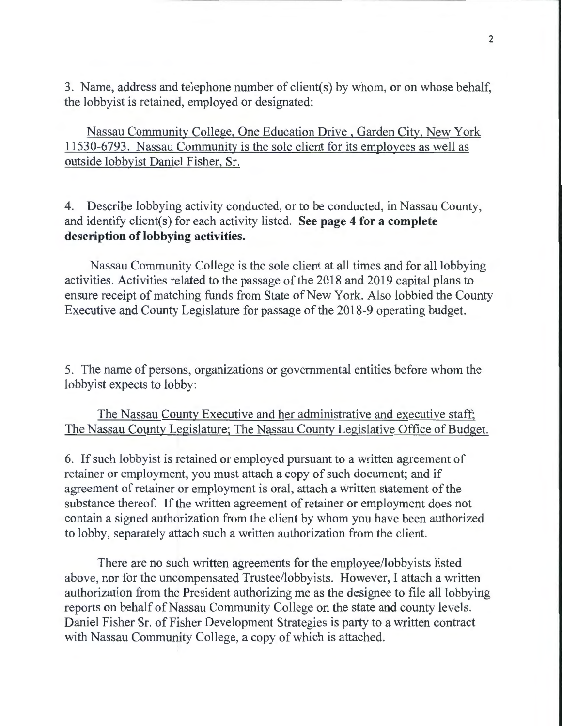3. Name, address and telephone number of client(s) by whom, or on whose behalf, the lobbyist is retained, employed or designated:

Nassau Community College, One Education Drive , Garden City, New York 11530-6793. Nassau Community is the sole client for its employees as well as outside lobbyist Daniel Fisher, Sr.

4. Describe lobbying activity conducted, or to be conducted, in Nassau County, and identify client(s) for each activity listed. **See page 4 for a complete description of lobbying activities.** 

Nassau Community College is the sole client at all times and for all lobbying activities. Activities related to the passage of the 2018 and 2019 capital plans to ensure receipt of matching funds from State of New York. Also lobbied the County Executive and County Legislature for passage of the 2018-9 operating budget.

5. The name of persons, organizations or governmental entities before whom the lobbyist expects to lobby:

The Nassau County Executive and her administrative and executive staff; The Nassau County Legislature; The Nassau County Legislative Office of Budget.

6. If such lobbyist is retained or employed pursuant to a written agreement of retainer or employment, you must attach a copy of such document; and if agreement of retainer or employment is oral, attach a written statement of the substance thereof. If the written agreement of retainer or employment does not contain a signed authorization from the client by whom you have been authorized to lobby, separately attach such a written authorization from the client.

There are no such written agreements for the employee/lobbyists listed above, nor for the uncompensated Trustee/lobbyists. However, I attach a written authorization from the President authorizing me as the designee to file all lobbying reports on behalf of Nassau Community College on the state and county levels. Daniel Fisher Sr. of Fisher Development Strategies is party to a written contract with Nassau Community College, a copy of which is attached.